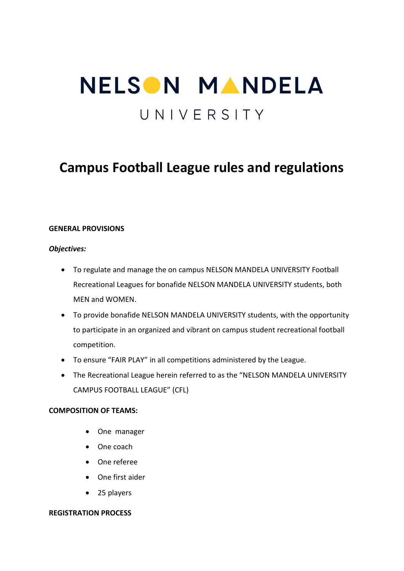# NELSON MANDELA UNIVERSITY

# **Campus Football League rules and regulations**

# **GENERAL PROVISIONS**

# *Objectives:*

- To regulate and manage the on campus NELSON MANDELA UNIVERSITY Football Recreational Leagues for bonafide NELSON MANDELA UNIVERSITY students, both MEN and WOMEN.
- To provide bonafide NELSON MANDELA UNIVERSITY students, with the opportunity to participate in an organized and vibrant on campus student recreational football competition.
- To ensure "FAIR PLAY" in all competitions administered by the League.
- The Recreational League herein referred to as the "NELSON MANDELA UNIVERSITY CAMPUS FOOTBALL LEAGUE" (CFL)

# **COMPOSITION OF TEAMS:**

- One manager
- One coach
- One referee
- One first aider
- 25 players

# **REGISTRATION PROCESS**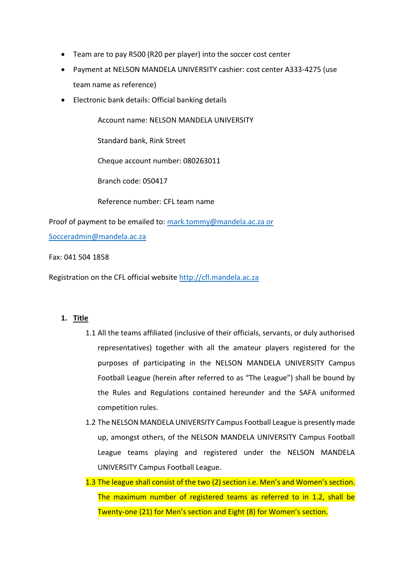- Team are to pay R500 (R20 per player) into the soccer cost center
- Payment at NELSON MANDELA UNIVERSITY cashier: cost center A333-4275 (use team name as reference)
- Electronic bank details: Official banking details

Account name: NELSON MANDELA UNIVERSITY

Standard bank, Rink Street

Cheque account number: 080263011

Branch code: 050417

Reference number: CFL team name

Proof of payment to be emailed to: [mark.tommy@mandela.ac.za](mailto:mark.tommy@mandela.ac.za) or Socceradmin@mandela.ac.za

Fax: 041 504 1858

Registration on the CFL official website [http://cfl.mandela.ac.za](http://cfl.mandela.ac.za/)

# **1. Title**

- 1.1 All the teams affiliated (inclusive of their officials, servants, or duly authorised representatives) together with all the amateur players registered for the purposes of participating in the NELSON MANDELA UNIVERSITY Campus Football League (herein after referred to as "The League") shall be bound by the Rules and Regulations contained hereunder and the SAFA uniformed competition rules.
- 1.2 The NELSON MANDELA UNIVERSITY Campus Football League is presently made up, amongst others, of the NELSON MANDELA UNIVERSITY Campus Football League teams playing and registered under the NELSON MANDELA UNIVERSITY Campus Football League.
- 1.3 The league shall consist of the two (2) section i.e. Men's and Women's section. The maximum number of registered teams as referred to in 1.2, shall be Twenty-one (21) for Men's section and Eight (8) for Women's section.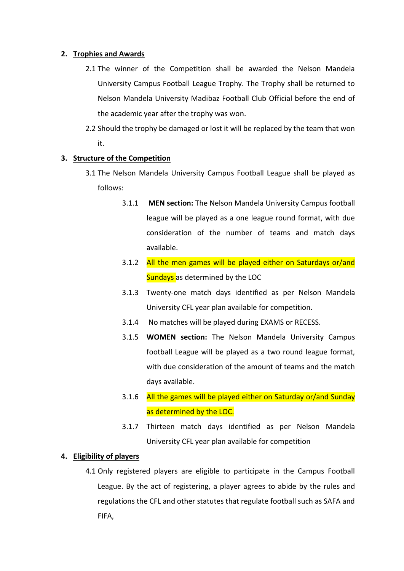# **2. Trophies and Awards**

- 2.1 The winner of the Competition shall be awarded the Nelson Mandela University Campus Football League Trophy. The Trophy shall be returned to Nelson Mandela University Madibaz Football Club Official before the end of the academic year after the trophy was won.
- 2.2 Should the trophy be damaged or lost it will be replaced by the team that won it.

#### **3. Structure of the Competition**

- 3.1 The Nelson Mandela University Campus Football League shall be played as follows:
	- 3.1.1 **MEN section:** The Nelson Mandela University Campus football league will be played as a one league round format, with due consideration of the number of teams and match days available.
	- 3.1.2 All the men games will be played either on Saturdays or/and Sundays as determined by the LOC
	- 3.1.3 Twenty-one match days identified as per Nelson Mandela University CFL year plan available for competition.
	- 3.1.4 No matches will be played during EXAMS or RECESS.
	- 3.1.5 **WOMEN section:** The Nelson Mandela University Campus football League will be played as a two round league format, with due consideration of the amount of teams and the match days available.
	- 3.1.6 All the games will be played either on Saturday or/and Sunday as determined by the LOC.
	- 3.1.7 Thirteen match days identified as per Nelson Mandela University CFL year plan available for competition

# **4. Eligibility of players**

4.1 Only registered players are eligible to participate in the Campus Football League. By the act of registering, a player agrees to abide by the rules and regulations the CFL and other statutes that regulate football such as SAFA and FIFA,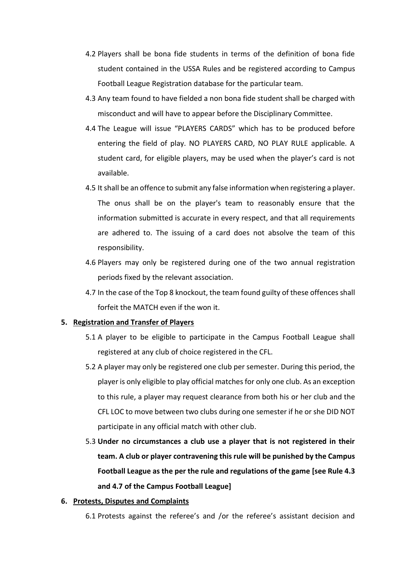- 4.2 Players shall be bona fide students in terms of the definition of bona fide student contained in the USSA Rules and be registered according to Campus Football League Registration database for the particular team.
- 4.3 Any team found to have fielded a non bona fide student shall be charged with misconduct and will have to appear before the Disciplinary Committee.
- 4.4 The League will issue "PLAYERS CARDS" which has to be produced before entering the field of play. NO PLAYERS CARD, NO PLAY RULE applicable. A student card, for eligible players, may be used when the player's card is not available.
- 4.5 It shall be an offence to submit any false information when registering a player. The onus shall be on the player's team to reasonably ensure that the information submitted is accurate in every respect, and that all requirements are adhered to. The issuing of a card does not absolve the team of this responsibility.
- 4.6 Players may only be registered during one of the two annual registration periods fixed by the relevant association.
- 4.7 In the case of the Top 8 knockout, the team found guilty of these offences shall forfeit the MATCH even if the won it.

# **5. Registration and Transfer of Players**

- 5.1 A player to be eligible to participate in the Campus Football League shall registered at any club of choice registered in the CFL.
- 5.2 A player may only be registered one club per semester. During this period, the player is only eligible to play official matches for only one club. As an exception to this rule, a player may request clearance from both his or her club and the CFL LOC to move between two clubs during one semester if he or she DID NOT participate in any official match with other club.
- 5.3 **Under no circumstances a club use a player that is not registered in their team. A club or player contravening this rule will be punished by the Campus Football League as the per the rule and regulations of the game [see Rule 4.3 and 4.7 of the Campus Football League]**

# **6. Protests, Disputes and Complaints**

6.1 Protests against the referee's and /or the referee's assistant decision and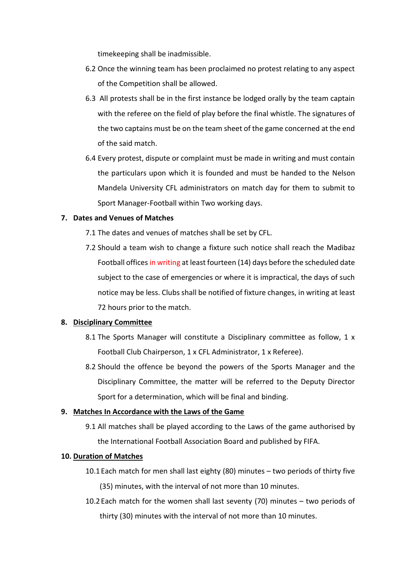timekeeping shall be inadmissible.

- 6.2 Once the winning team has been proclaimed no protest relating to any aspect of the Competition shall be allowed.
- 6.3 All protests shall be in the first instance be lodged orally by the team captain with the referee on the field of play before the final whistle. The signatures of the two captains must be on the team sheet of the game concerned at the end of the said match.
- 6.4 Every protest, dispute or complaint must be made in writing and must contain the particulars upon which it is founded and must be handed to the Nelson Mandela University CFL administrators on match day for them to submit to Sport Manager-Football within Two working days.

# **7. Dates and Venues of Matches**

- 7.1 The dates and venues of matches shall be set by CFL.
- 7.2 Should a team wish to change a fixture such notice shall reach the Madibaz Football offices in writing at least fourteen (14) days before the scheduled date subject to the case of emergencies or where it is impractical, the days of such notice may be less. Clubs shall be notified of fixture changes, in writing at least 72 hours prior to the match.

#### **8. Disciplinary Committee**

- 8.1 The Sports Manager will constitute a Disciplinary committee as follow, 1 x Football Club Chairperson, 1 x CFL Administrator, 1 x Referee).
- 8.2 Should the offence be beyond the powers of the Sports Manager and the Disciplinary Committee, the matter will be referred to the Deputy Director Sport for a determination, which will be final and binding.

#### **9. Matches In Accordance with the Laws of the Game**

9.1 All matches shall be played according to the Laws of the game authorised by the International Football Association Board and published by FIFA.

#### **10. Duration of Matches**

- 10.1Each match for men shall last eighty (80) minutes two periods of thirty five (35) minutes, with the interval of not more than 10 minutes.
- 10.2Each match for the women shall last seventy (70) minutes two periods of thirty (30) minutes with the interval of not more than 10 minutes.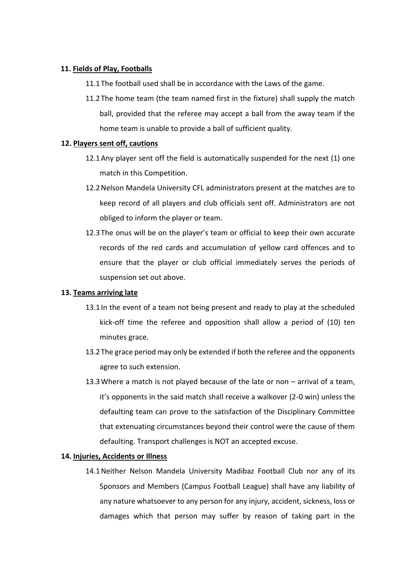# **11. Fields of Play, Footballs**

11.1The football used shall be in accordance with the Laws of the game.

11.2The home team (the team named first in the fixture) shall supply the match ball, provided that the referee may accept a ball from the away team if the home team is unable to provide a ball of sufficient quality.

#### **12. Players sent off, cautions**

- 12.1Any player sent off the field is automatically suspended for the next (1) one match in this Competition.
- 12.2Nelson Mandela University CFL administrators present at the matches are to keep record of all players and club officials sent off. Administrators are not obliged to inform the player or team.
- 12.3The onus will be on the player's team or official to keep their own accurate records of the red cards and accumulation of yellow card offences and to ensure that the player or club official immediately serves the periods of suspension set out above.

# **13. Teams arriving late**

- 13.1In the event of a team not being present and ready to play at the scheduled kick-off time the referee and opposition shall allow a period of (10) ten minutes grace.
- 13.2The grace period may only be extended if both the referee and the opponents agree to such extension.
- 13.3Where a match is not played because of the late or non arrival of a team, it's opponents in the said match shall receive a walkover (2-0 win) unless the defaulting team can prove to the satisfaction of the Disciplinary Committee that extenuating circumstances beyond their control were the cause of them defaulting. Transport challenges is NOT an accepted excuse.

#### **14. Injuries, Accidents or Illness**

14.1Neither Nelson Mandela University Madibaz Football Club nor any of its Sponsors and Members (Campus Football League) shall have any liability of any nature whatsoever to any person for any injury, accident, sickness, loss or damages which that person may suffer by reason of taking part in the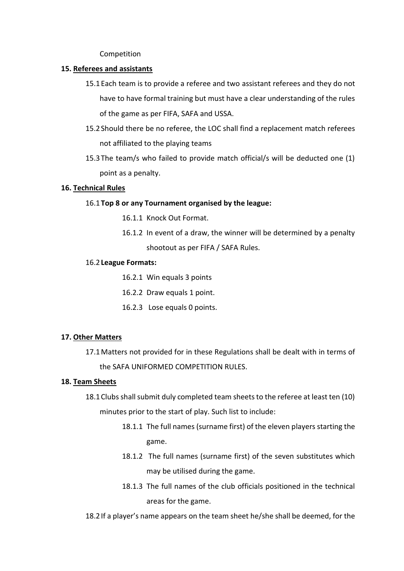Competition

#### **15. Referees and assistants**

- 15.1Each team is to provide a referee and two assistant referees and they do not have to have formal training but must have a clear understanding of the rules of the game as per FIFA, SAFA and USSA.
- 15.2Should there be no referee, the LOC shall find a replacement match referees not affiliated to the playing teams
- 15.3The team/s who failed to provide match official/s will be deducted one (1) point as a penalty.

#### **16. Technical Rules**

#### 16.1**Top 8 or any Tournament organised by the league:**

- 16.1.1 Knock Out Format.
- 16.1.2 In event of a draw, the winner will be determined by a penalty shootout as per FIFA / SAFA Rules.

#### 16.2**League Formats:**

- 16.2.1 Win equals 3 points
- 16.2.2 Draw equals 1 point.
- 16.2.3 Lose equals 0 points.

# **17. Other Matters**

17.1Matters not provided for in these Regulations shall be dealt with in terms of the SAFA UNIFORMED COMPETITION RULES.

#### **18. Team Sheets**

- 18.1Clubs shall submit duly completed team sheets to the referee at least ten (10) minutes prior to the start of play. Such list to include:
	- 18.1.1 The full names (surname first) of the eleven players starting the game.
	- 18.1.2 The full names (surname first) of the seven substitutes which may be utilised during the game.
	- 18.1.3 The full names of the club officials positioned in the technical areas for the game.

18.2If a player's name appears on the team sheet he/she shall be deemed, for the